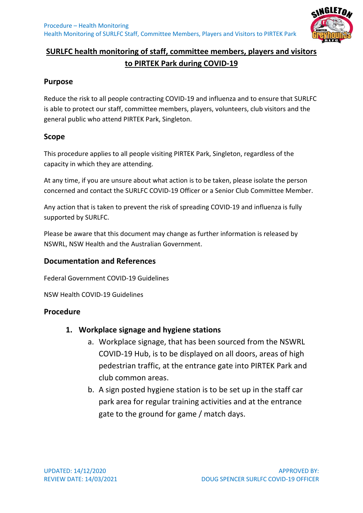

## **SURLFC health monitoring of staff, committee members, players and visitors to PIRTEK Park during COVID-19**

#### **Purpose**

Reduce the risk to all people contracting COVID-19 and influenza and to ensure that SURLFC is able to protect our staff, committee members, players, volunteers, club visitors and the general public who attend PIRTEK Park, Singleton.

#### **Scope**

This procedure applies to all people visiting PIRTEK Park, Singleton, regardless of the capacity in which they are attending.

At any time, if you are unsure about what action is to be taken, please isolate the person concerned and contact the SURLFC COVID-19 Officer or a Senior Club Committee Member.

Any action that is taken to prevent the risk of spreading COVID-19 and influenza is fully supported by SURLFC.

Please be aware that this document may change as further information is released by NSWRL, NSW Health and the Australian Government.

#### **Documentation and References**

Federal Government COVID-19 Guidelines

NSW Health COVID-19 Guidelines

#### **Procedure**

#### **1. Workplace signage and hygiene stations**

- a. Workplace signage, that has been sourced from the NSWRL COVID-19 Hub, is to be displayed on all doors, areas of high pedestrian traffic, at the entrance gate into PIRTEK Park and club common areas.
- b. A sign posted hygiene station is to be set up in the staff car park area for regular training activities and at the entrance gate to the ground for game / match days.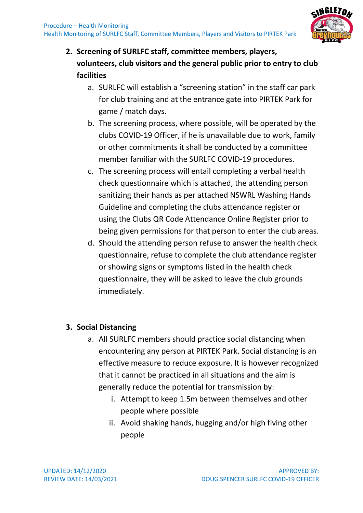

# **2. Screening of SURLFC staff, committee members, players, volunteers, club visitors and the general public prior to entry to club facilities**

- a. SURLFC will establish a "screening station" in the staff car park for club training and at the entrance gate into PIRTEK Park for game / match days.
- b. The screening process, where possible, will be operated by the clubs COVID-19 Officer, if he is unavailable due to work, family or other commitments it shall be conducted by a committee member familiar with the SURLFC COVID-19 procedures.
- c. The screening process will entail completing a verbal health check questionnaire which is attached, the attending person sanitizing their hands as per attached NSWRL Washing Hands Guideline and completing the clubs attendance register or using the Clubs QR Code Attendance Online Register prior to being given permissions for that person to enter the club areas.
- d. Should the attending person refuse to answer the health check questionnaire, refuse to complete the club attendance register or showing signs or symptoms listed in the health check questionnaire, they will be asked to leave the club grounds immediately.

## **3. Social Distancing**

- a. All SURLFC members should practice social distancing when encountering any person at PIRTEK Park. Social distancing is an effective measure to reduce exposure. It is however recognized that it cannot be practiced in all situations and the aim is generally reduce the potential for transmission by:
	- i. Attempt to keep 1.5m between themselves and other people where possible
	- ii. Avoid shaking hands, hugging and/or high fiving other people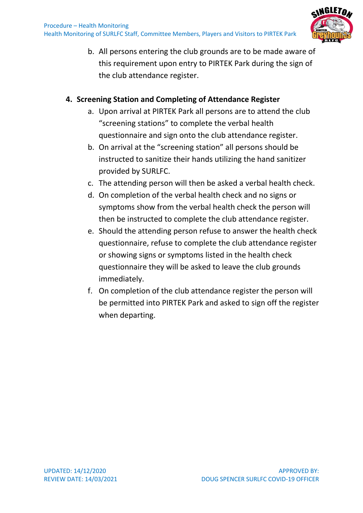

b. All persons entering the club grounds are to be made aware of this requirement upon entry to PIRTEK Park during the sign of the club attendance register.

### **4. Screening Station and Completing of Attendance Register**

- a. Upon arrival at PIRTEK Park all persons are to attend the club "screening stations" to complete the verbal health questionnaire and sign onto the club attendance register.
- b. On arrival at the "screening station" all persons should be instructed to sanitize their hands utilizing the hand sanitizer provided by SURLFC.
- c. The attending person will then be asked a verbal health check.
- d. On completion of the verbal health check and no signs or symptoms show from the verbal health check the person will then be instructed to complete the club attendance register.
- e. Should the attending person refuse to answer the health check questionnaire, refuse to complete the club attendance register or showing signs or symptoms listed in the health check questionnaire they will be asked to leave the club grounds immediately.
- f. On completion of the club attendance register the person will be permitted into PIRTEK Park and asked to sign off the register when departing.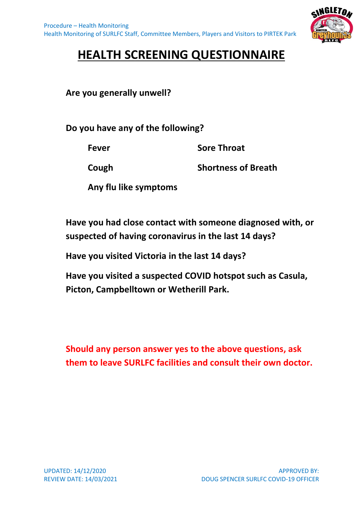

# **HEALTH SCREENING QUESTIONNAIRE**

**Are you generally unwell?**

**Do you have any of the following?**

**Fever Sore Throat**

**Cough Shortness of Breath**

**Any flu like symptoms**

**Have you had close contact with someone diagnosed with, or suspected of having coronavirus in the last 14 days?**

**Have you visited Victoria in the last 14 days?**

**Have you visited a suspected COVID hotspot such as Casula, Picton, Campbelltown or Wetherill Park.**

**Should any person answer yes to the above questions, ask them to leave SURLFC facilities and consult their own doctor.**